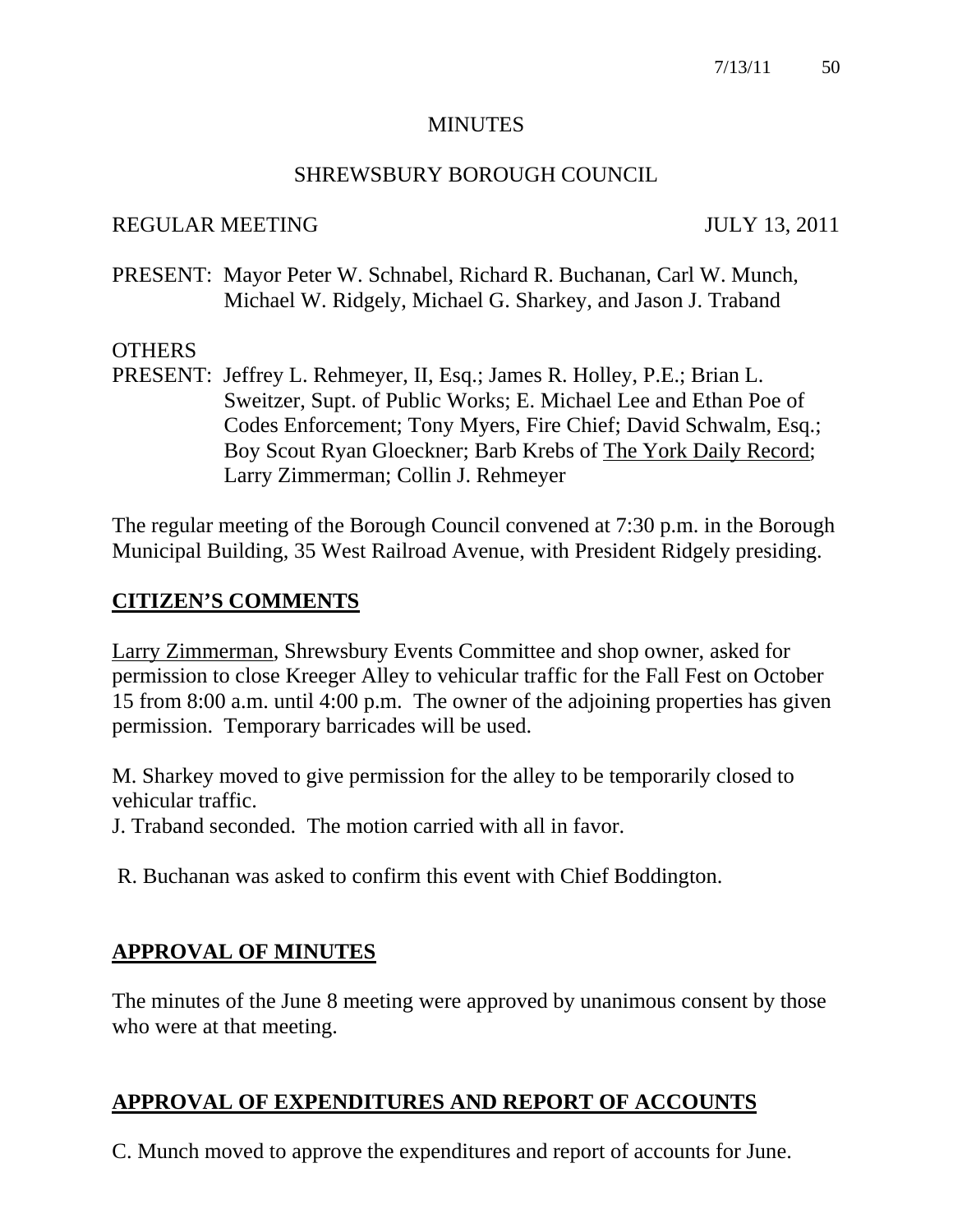#### **MINUTES**

#### SHREWSBURY BOROUGH COUNCIL

#### REGULAR MEETING JULY 13, 2011

PRESENT: Mayor Peter W. Schnabel, Richard R. Buchanan, Carl W. Munch, Michael W. Ridgely, Michael G. Sharkey, and Jason J. Traband

# **OTHERS**

PRESENT: Jeffrey L. Rehmeyer, II, Esq.; James R. Holley, P.E.; Brian L. Sweitzer, Supt. of Public Works; E. Michael Lee and Ethan Poe of Codes Enforcement; Tony Myers, Fire Chief; David Schwalm, Esq.; Boy Scout Ryan Gloeckner; Barb Krebs of The York Daily Record; Larry Zimmerman; Collin J. Rehmeyer

The regular meeting of the Borough Council convened at 7:30 p.m. in the Borough Municipal Building, 35 West Railroad Avenue, with President Ridgely presiding.

# **CITIZEN'S COMMENTS**

Larry Zimmerman, Shrewsbury Events Committee and shop owner, asked for permission to close Kreeger Alley to vehicular traffic for the Fall Fest on October 15 from 8:00 a.m. until 4:00 p.m. The owner of the adjoining properties has given permission. Temporary barricades will be used.

M. Sharkey moved to give permission for the alley to be temporarily closed to vehicular traffic.

J. Traband seconded. The motion carried with all in favor.

R. Buchanan was asked to confirm this event with Chief Boddington.

# **APPROVAL OF MINUTES**

The minutes of the June 8 meeting were approved by unanimous consent by those who were at that meeting.

# **APPROVAL OF EXPENDITURES AND REPORT OF ACCOUNTS**

C. Munch moved to approve the expenditures and report of accounts for June.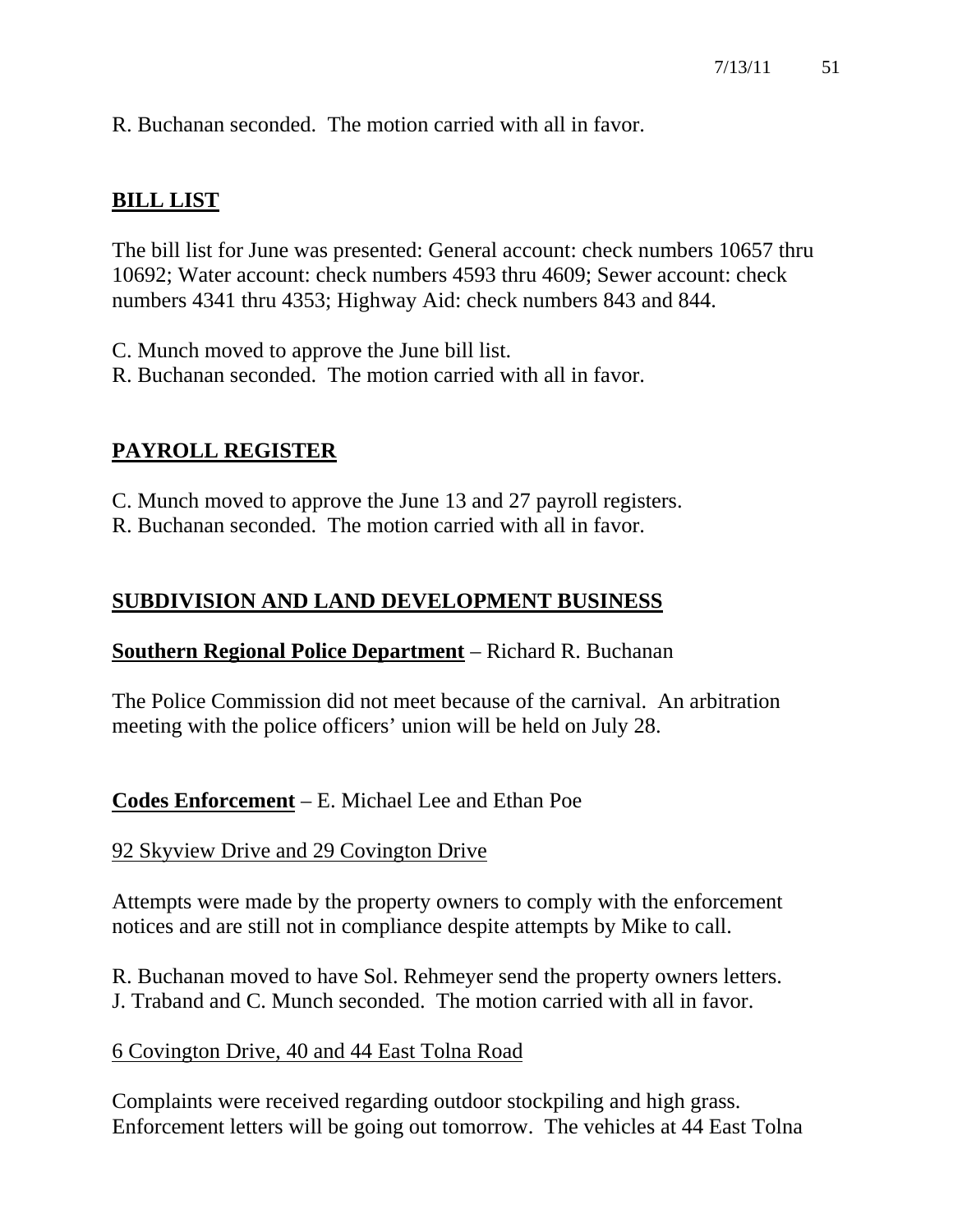R. Buchanan seconded. The motion carried with all in favor.

# **BILL LIST**

The bill list for June was presented: General account: check numbers 10657 thru 10692; Water account: check numbers 4593 thru 4609; Sewer account: check numbers 4341 thru 4353; Highway Aid: check numbers 843 and 844.

C. Munch moved to approve the June bill list. R. Buchanan seconded. The motion carried with all in favor.

# **PAYROLL REGISTER**

C. Munch moved to approve the June 13 and 27 payroll registers.

R. Buchanan seconded. The motion carried with all in favor.

# **SUBDIVISION AND LAND DEVELOPMENT BUSINESS**

# **Southern Regional Police Department** – Richard R. Buchanan

The Police Commission did not meet because of the carnival. An arbitration meeting with the police officers' union will be held on July 28.

**Codes Enforcement** – E. Michael Lee and Ethan Poe

# 92 Skyview Drive and 29 Covington Drive

Attempts were made by the property owners to comply with the enforcement notices and are still not in compliance despite attempts by Mike to call.

R. Buchanan moved to have Sol. Rehmeyer send the property owners letters. J. Traband and C. Munch seconded. The motion carried with all in favor.

# 6 Covington Drive, 40 and 44 East Tolna Road

Complaints were received regarding outdoor stockpiling and high grass. Enforcement letters will be going out tomorrow. The vehicles at 44 East Tolna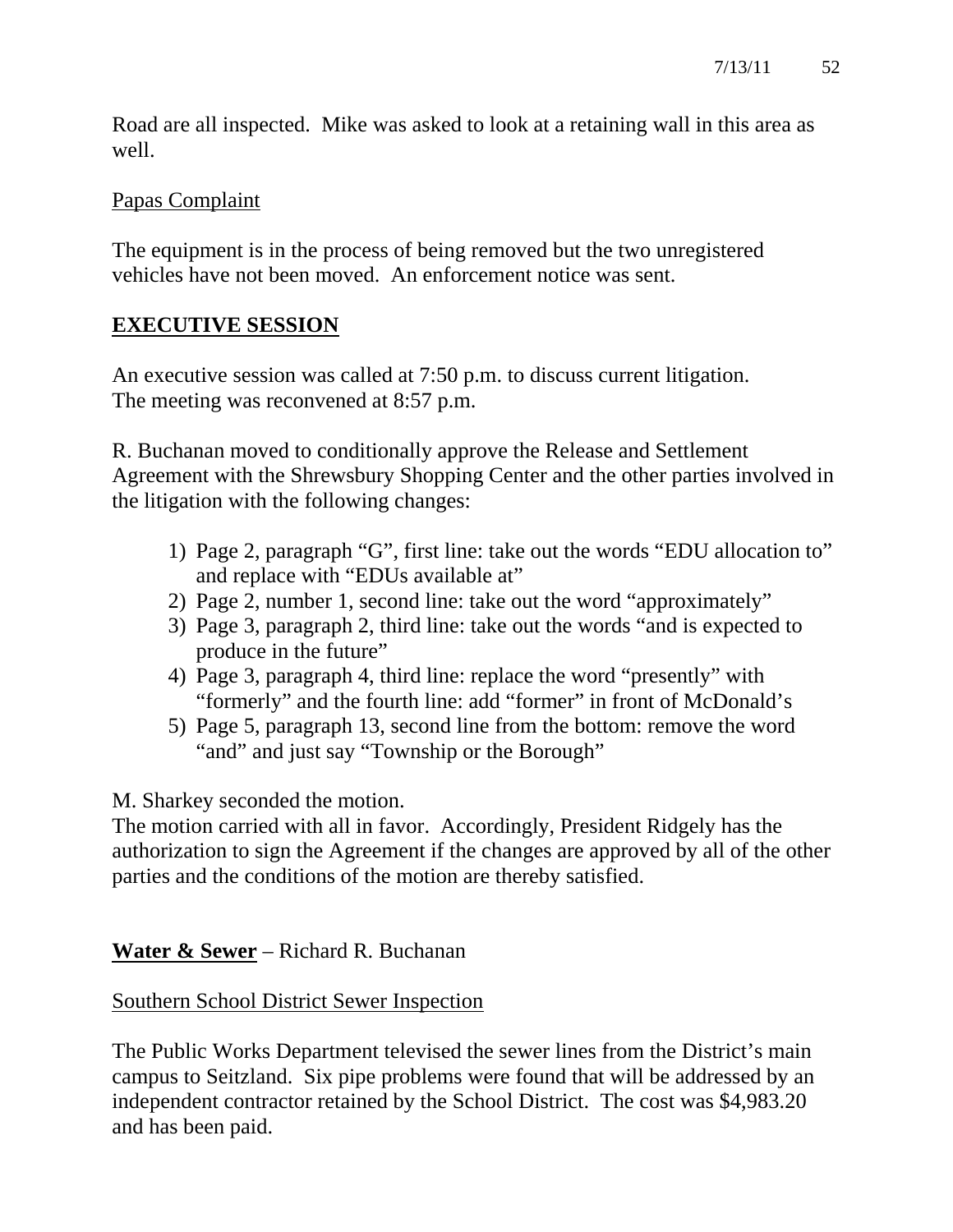Road are all inspected. Mike was asked to look at a retaining wall in this area as well.

# Papas Complaint

The equipment is in the process of being removed but the two unregistered vehicles have not been moved. An enforcement notice was sent.

# **EXECUTIVE SESSION**

An executive session was called at 7:50 p.m. to discuss current litigation. The meeting was reconvened at 8:57 p.m.

R. Buchanan moved to conditionally approve the Release and Settlement Agreement with the Shrewsbury Shopping Center and the other parties involved in the litigation with the following changes:

- 1) Page 2, paragraph "G", first line: take out the words "EDU allocation to" and replace with "EDUs available at"
- 2) Page 2, number 1, second line: take out the word "approximately"
- 3) Page 3, paragraph 2, third line: take out the words "and is expected to produce in the future"
- 4) Page 3, paragraph 4, third line: replace the word "presently" with "formerly" and the fourth line: add "former" in front of McDonald's
- 5) Page 5, paragraph 13, second line from the bottom: remove the word "and" and just say "Township or the Borough"

M. Sharkey seconded the motion.

The motion carried with all in favor. Accordingly, President Ridgely has the authorization to sign the Agreement if the changes are approved by all of the other parties and the conditions of the motion are thereby satisfied.

**Water & Sewer** – Richard R. Buchanan

# Southern School District Sewer Inspection

The Public Works Department televised the sewer lines from the District's main campus to Seitzland. Six pipe problems were found that will be addressed by an independent contractor retained by the School District. The cost was \$4,983.20 and has been paid.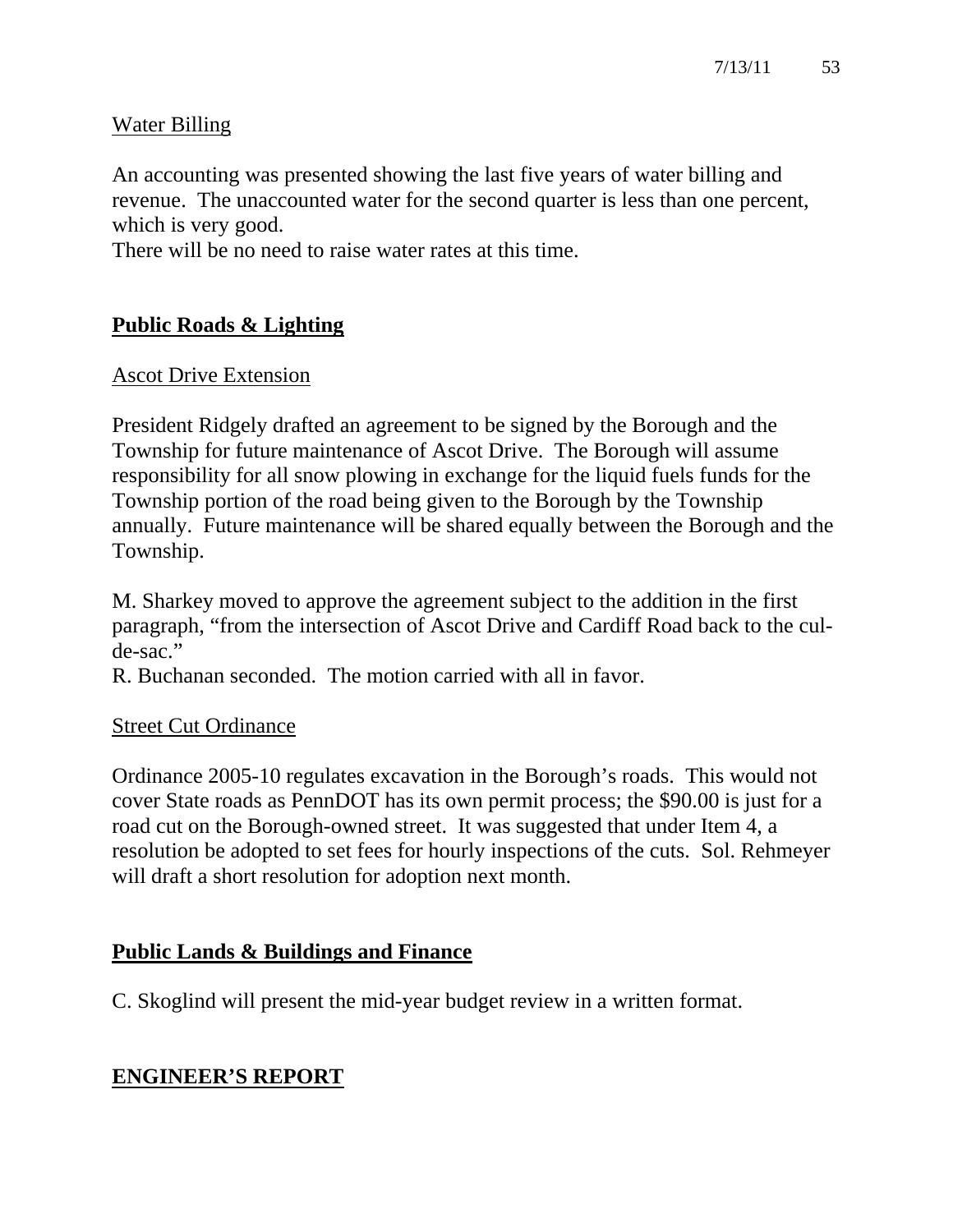# Water Billing

An accounting was presented showing the last five years of water billing and revenue. The unaccounted water for the second quarter is less than one percent, which is very good.

There will be no need to raise water rates at this time.

# **Public Roads & Lighting**

#### Ascot Drive Extension

President Ridgely drafted an agreement to be signed by the Borough and the Township for future maintenance of Ascot Drive. The Borough will assume responsibility for all snow plowing in exchange for the liquid fuels funds for the Township portion of the road being given to the Borough by the Township annually. Future maintenance will be shared equally between the Borough and the Township.

M. Sharkey moved to approve the agreement subject to the addition in the first paragraph, "from the intersection of Ascot Drive and Cardiff Road back to the culde-sac."

R. Buchanan seconded. The motion carried with all in favor.

# Street Cut Ordinance

Ordinance 2005-10 regulates excavation in the Borough's roads. This would not cover State roads as PennDOT has its own permit process; the \$90.00 is just for a road cut on the Borough-owned street. It was suggested that under Item 4, a resolution be adopted to set fees for hourly inspections of the cuts. Sol. Rehmeyer will draft a short resolution for adoption next month.

# **Public Lands & Buildings and Finance**

C. Skoglind will present the mid-year budget review in a written format.

# **ENGINEER'S REPORT**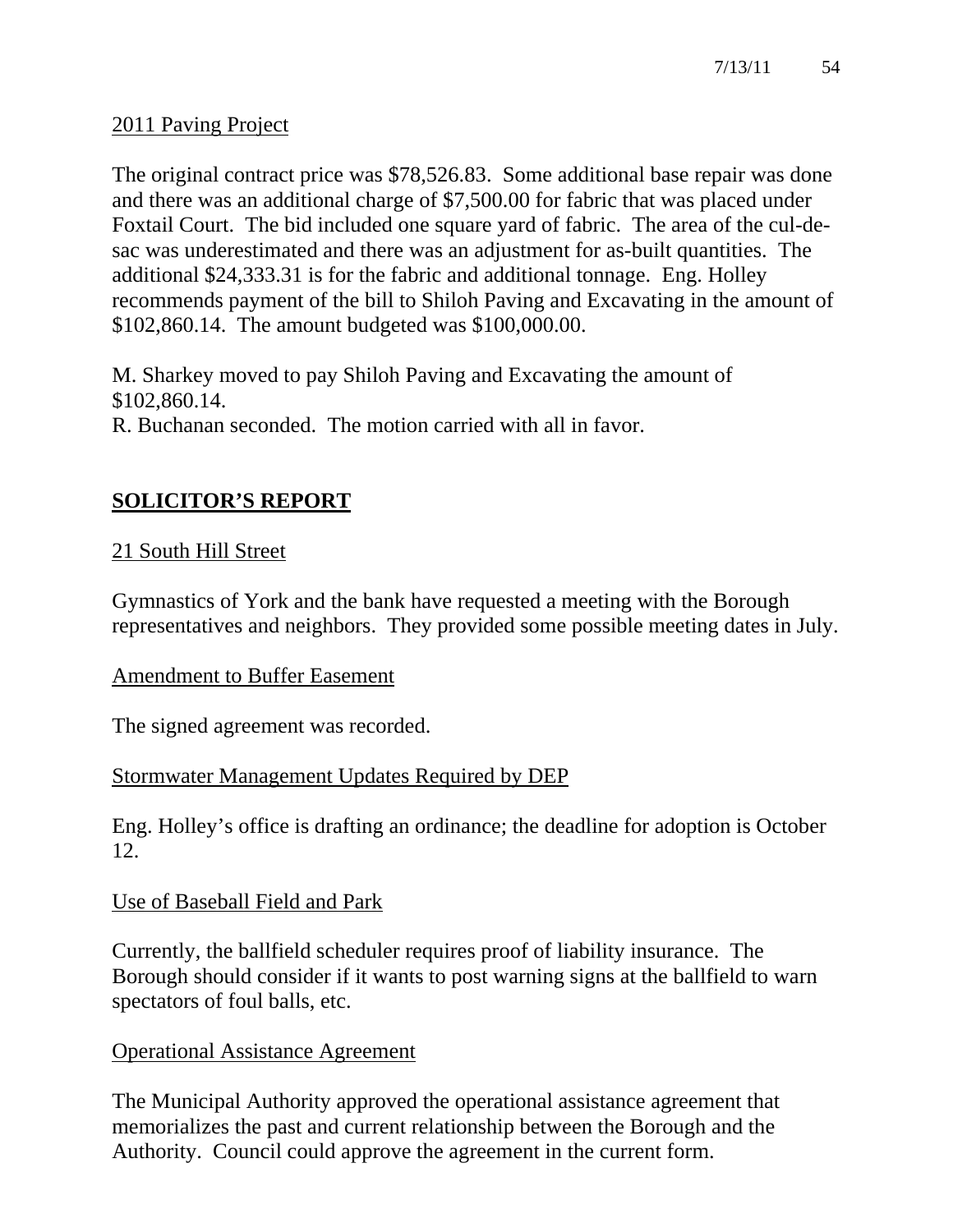# 2011 Paving Project

The original contract price was \$78,526.83. Some additional base repair was done and there was an additional charge of \$7,500.00 for fabric that was placed under Foxtail Court. The bid included one square yard of fabric. The area of the cul-desac was underestimated and there was an adjustment for as-built quantities. The additional \$24,333.31 is for the fabric and additional tonnage. Eng. Holley recommends payment of the bill to Shiloh Paving and Excavating in the amount of \$102,860.14. The amount budgeted was \$100,000.00.

M. Sharkey moved to pay Shiloh Paving and Excavating the amount of \$102,860.14.

R. Buchanan seconded. The motion carried with all in favor.

# **SOLICITOR'S REPORT**

# 21 South Hill Street

Gymnastics of York and the bank have requested a meeting with the Borough representatives and neighbors. They provided some possible meeting dates in July.

# Amendment to Buffer Easement

The signed agreement was recorded.

# Stormwater Management Updates Required by DEP

Eng. Holley's office is drafting an ordinance; the deadline for adoption is October 12.

# Use of Baseball Field and Park

Currently, the ballfield scheduler requires proof of liability insurance. The Borough should consider if it wants to post warning signs at the ballfield to warn spectators of foul balls, etc.

# Operational Assistance Agreement

The Municipal Authority approved the operational assistance agreement that memorializes the past and current relationship between the Borough and the Authority. Council could approve the agreement in the current form.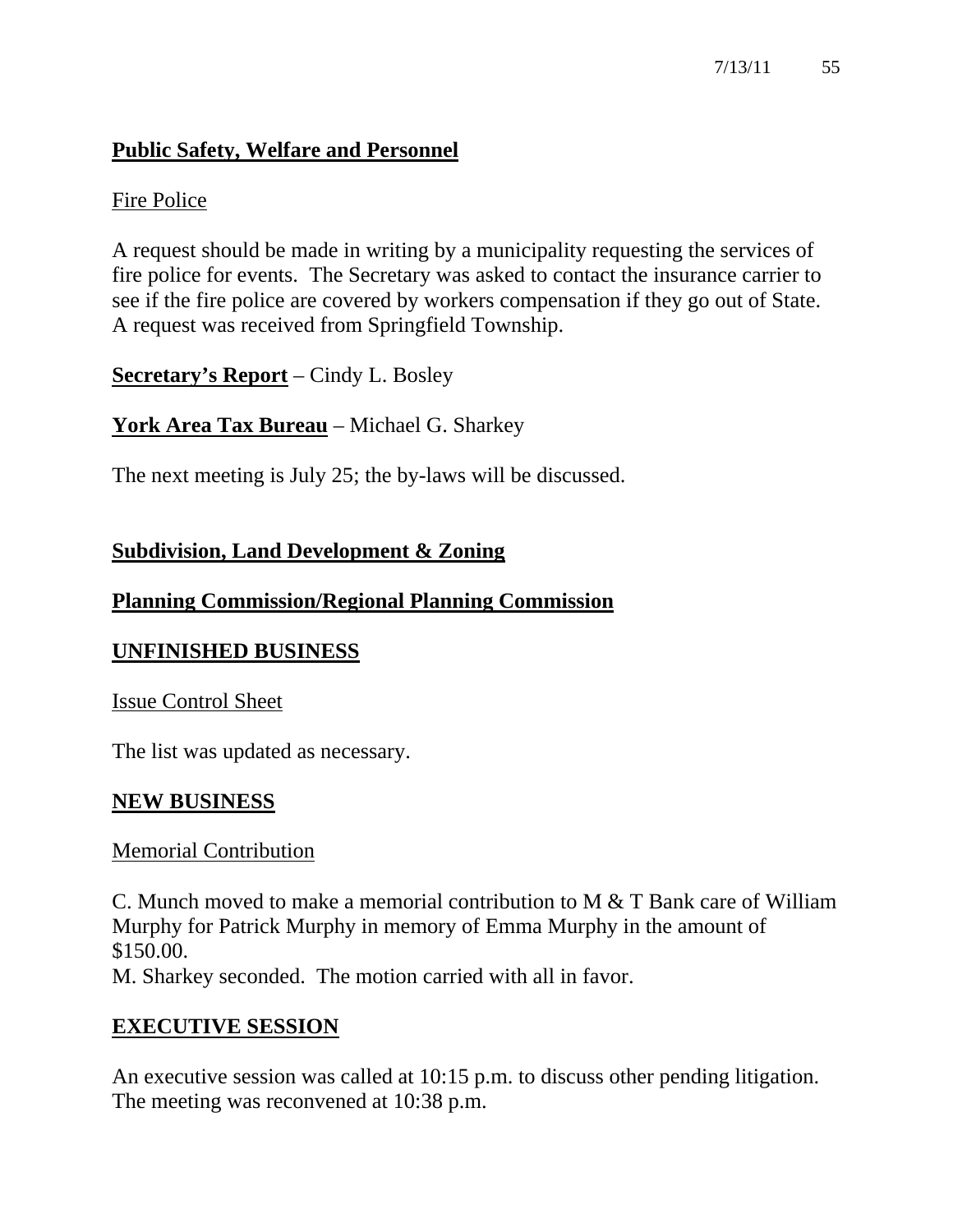# **Public Safety, Welfare and Personnel**

# Fire Police

A request should be made in writing by a municipality requesting the services of fire police for events. The Secretary was asked to contact the insurance carrier to see if the fire police are covered by workers compensation if they go out of State. A request was received from Springfield Township.

**Secretary's Report** – Cindy L. Bosley

# **York Area Tax Bureau** – Michael G. Sharkey

The next meeting is July 25; the by-laws will be discussed.

# **Subdivision, Land Development & Zoning**

# **Planning Commission/Regional Planning Commission**

# **UNFINISHED BUSINESS**

# Issue Control Sheet

The list was updated as necessary.

# **NEW BUSINESS**

# Memorial Contribution

C. Munch moved to make a memorial contribution to M & T Bank care of William Murphy for Patrick Murphy in memory of Emma Murphy in the amount of \$150.00. M. Sharkey seconded. The motion carried with all in favor.

# **EXECUTIVE SESSION**

An executive session was called at 10:15 p.m. to discuss other pending litigation. The meeting was reconvened at 10:38 p.m.